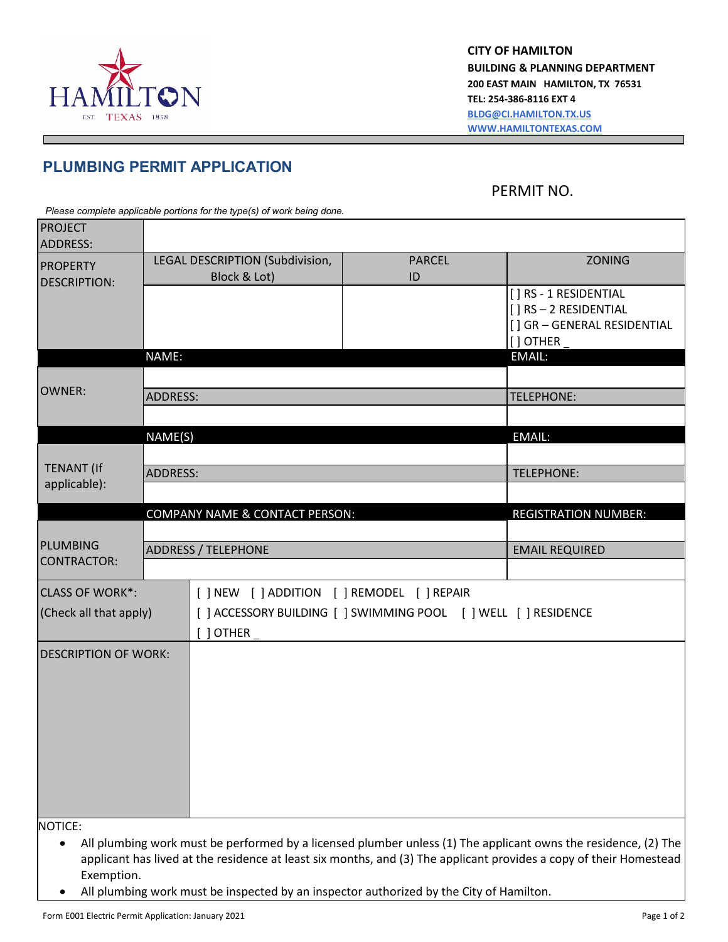

**CITY OF HAMILTON BUILDING & PLANNING DEPARTMENT 200 EAST MAIN HAMILTON, TX 76531 TEL: 254-386-8116 EXT 4 [BLDG@CI.HAMILTON.TX.US](mailto:BLDG@CI.HAMILTON.TX.US) [WWW.HAMILTONTEXAS.COM](http://www.hamiltontexas.com/)** 

## **PLUMBING PERMIT APPLICATION**

PERMIT NO.

*Please complete applicable portions for the type(s) of work being done.* 

| <b>PROJECT</b><br><b>ADDRESS:</b> |                                                  |                                             |                                                                 |                                                                                                                    |  |
|-----------------------------------|--------------------------------------------------|---------------------------------------------|-----------------------------------------------------------------|--------------------------------------------------------------------------------------------------------------------|--|
| <b>PROPERTY</b>                   | LEGAL DESCRIPTION (Subdivision,<br><b>PARCEL</b> |                                             |                                                                 | <b>ZONING</b>                                                                                                      |  |
| <b>DESCRIPTION:</b>               |                                                  | Block & Lot)                                | ID                                                              |                                                                                                                    |  |
|                                   |                                                  |                                             |                                                                 | [ ] RS - 1 RESIDENTIAL                                                                                             |  |
|                                   |                                                  |                                             |                                                                 | [] RS-2 RESIDENTIAL                                                                                                |  |
|                                   |                                                  |                                             |                                                                 | [] GR - GENERAL RESIDENTIAL<br>$[$ ] OTHER $\_$                                                                    |  |
|                                   | NAME:                                            |                                             |                                                                 | EMAIL:                                                                                                             |  |
|                                   |                                                  |                                             |                                                                 |                                                                                                                    |  |
| <b>OWNER:</b>                     | <b>ADDRESS:</b>                                  |                                             |                                                                 | <b>TELEPHONE:</b>                                                                                                  |  |
|                                   |                                                  |                                             |                                                                 |                                                                                                                    |  |
|                                   | NAME(S)                                          |                                             |                                                                 | <b>EMAIL:</b>                                                                                                      |  |
|                                   |                                                  |                                             |                                                                 |                                                                                                                    |  |
| <b>TENANT (If</b>                 | <b>ADDRESS:</b>                                  |                                             |                                                                 | <b>TELEPHONE:</b>                                                                                                  |  |
| applicable):                      |                                                  |                                             |                                                                 |                                                                                                                    |  |
|                                   |                                                  | COMPANY NAME & CONTACT PERSON:              |                                                                 | <b>REGISTRATION NUMBER:</b>                                                                                        |  |
|                                   |                                                  |                                             |                                                                 |                                                                                                                    |  |
| <b>PLUMBING</b>                   |                                                  | <b>ADDRESS / TELEPHONE</b>                  |                                                                 | <b>EMAIL REQUIRED</b>                                                                                              |  |
| <b>CONTRACTOR:</b>                |                                                  |                                             |                                                                 |                                                                                                                    |  |
| <b>CLASS OF WORK*:</b>            |                                                  | [ ] NEW [ ] ADDITION [ ] REMODEL [ ] REPAIR |                                                                 |                                                                                                                    |  |
| (Check all that apply)            |                                                  |                                             | [ ] ACCESSORY BUILDING [ ] SWIMMING POOL [ ] WELL [ ] RESIDENCE |                                                                                                                    |  |
|                                   |                                                  | $J$ OTHER $_{-}$                            |                                                                 |                                                                                                                    |  |
|                                   |                                                  |                                             |                                                                 |                                                                                                                    |  |
| <b>DESCRIPTION OF WORK:</b>       |                                                  |                                             |                                                                 |                                                                                                                    |  |
|                                   |                                                  |                                             |                                                                 |                                                                                                                    |  |
|                                   |                                                  |                                             |                                                                 |                                                                                                                    |  |
|                                   |                                                  |                                             |                                                                 |                                                                                                                    |  |
|                                   |                                                  |                                             |                                                                 |                                                                                                                    |  |
|                                   |                                                  |                                             |                                                                 |                                                                                                                    |  |
|                                   |                                                  |                                             |                                                                 |                                                                                                                    |  |
|                                   |                                                  |                                             |                                                                 |                                                                                                                    |  |
|                                   |                                                  |                                             |                                                                 |                                                                                                                    |  |
| NOTICE:                           |                                                  |                                             |                                                                 |                                                                                                                    |  |
| ٠                                 |                                                  |                                             |                                                                 | All plumbing work must be performed by a licensed plumber unless (1) The applicant owns the residence, (2) The     |  |
|                                   |                                                  |                                             |                                                                 | applicant has lived at the residence at least six months, and (3) The applicant provides a copy of their Homestead |  |

Exemption. • All plumbing work must be inspected by an inspector authorized by the City of Hamilton.